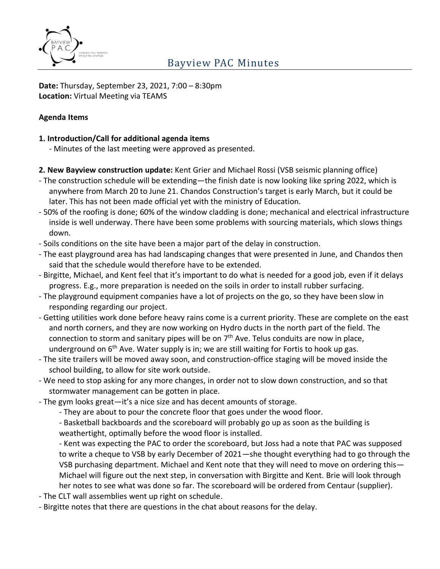

**Date:** Thursday, September 23, 2021, 7:00 – 8:30pm **Location:** Virtual Meeting via TEAMS

#### **Agenda Items**

#### **1. Introduction/Call for additional agenda items**

- Minutes of the last meeting were approved as presented.
- **2. New Bayview construction update:** Kent Grier and Michael Rossi (VSB seismic planning office)
- The construction schedule will be extending—the finish date is now looking like spring 2022, which is anywhere from March 20 to June 21. Chandos Construction's target is early March, but it could be later. This has not been made official yet with the ministry of Education.
- 50% of the roofing is done; 60% of the window cladding is done; mechanical and electrical infrastructure inside is well underway. There have been some problems with sourcing materials, which slows things down.
- Soils conditions on the site have been a major part of the delay in construction.
- The east playground area has had landscaping changes that were presented in June, and Chandos then said that the schedule would therefore have to be extended.
- Birgitte, Michael, and Kent feel that it's important to do what is needed for a good job, even if it delays progress. E.g., more preparation is needed on the soils in order to install rubber surfacing.
- The playground equipment companies have a lot of projects on the go, so they have been slow in responding regarding our project.
- Getting utilities work done before heavy rains come is a current priority. These are complete on the east and north corners, and they are now working on Hydro ducts in the north part of the field. The connection to storm and sanitary pipes will be on  $7<sup>th</sup>$  Ave. Telus conduits are now in place, underground on  $6<sup>th</sup>$  Ave. Water supply is in; we are still waiting for Fortis to hook up gas.
- The site trailers will be moved away soon, and construction-office staging will be moved inside the school building, to allow for site work outside.
- We need to stop asking for any more changes, in order not to slow down construction, and so that stormwater management can be gotten in place.
- The gym looks great—it's a nice size and has decent amounts of storage.
	- They are about to pour the concrete floor that goes under the wood floor.

- Basketball backboards and the scoreboard will probably go up as soon as the building is weathertight, optimally before the wood floor is installed.

- Kent was expecting the PAC to order the scoreboard, but Joss had a note that PAC was supposed to write a cheque to VSB by early December of 2021—she thought everything had to go through the VSB purchasing department. Michael and Kent note that they will need to move on ordering this— Michael will figure out the next step, in conversation with Birgitte and Kent. Brie will look through her notes to see what was done so far. The scoreboard will be ordered from Centaur (supplier).

- The CLT wall assemblies went up right on schedule.
- Birgitte notes that there are questions in the chat about reasons for the delay.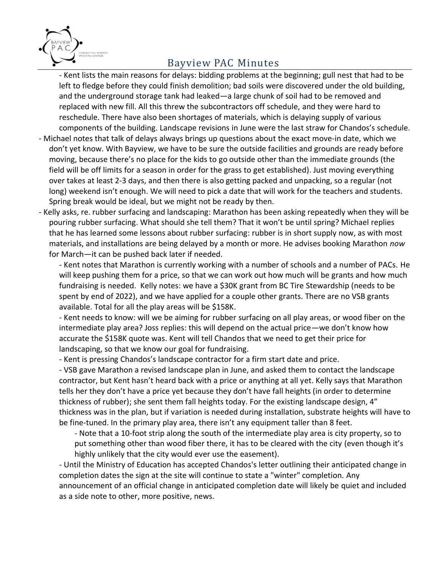

## Bayview PAC Minutes

- Kent lists the main reasons for delays: bidding problems at the beginning; gull nest that had to be left to fledge before they could finish demolition; bad soils were discovered under the old building, and the underground storage tank had leaked—a large chunk of soil had to be removed and replaced with new fill. All this threw the subcontractors off schedule, and they were hard to reschedule. There have also been shortages of materials, which is delaying supply of various components of the building. Landscape revisions in June were the last straw for Chandos's schedule.

- Michael notes that talk of delays always brings up questions about the exact move-in date, which we don't yet know. With Bayview, we have to be sure the outside facilities and grounds are ready before moving, because there's no place for the kids to go outside other than the immediate grounds (the field will be off limits for a season in order for the grass to get established). Just moving everything over takes at least 2-3 days, and then there is also getting packed and unpacking, so a regular (not long) weekend isn't enough. We will need to pick a date that will work for the teachers and students. Spring break would be ideal, but we might not be ready by then.
- Kelly asks, re. rubber surfacing and landscaping: Marathon has been asking repeatedly when they will be pouring rubber surfacing. What should she tell them? That it won't be until spring? Michael replies that he has learned some lessons about rubber surfacing: rubber is in short supply now, as with most materials, and installations are being delayed by a month or more. He advises booking Marathon *now* for March—it can be pushed back later if needed.

- Kent notes that Marathon is currently working with a number of schools and a number of PACs. He will keep pushing them for a price, so that we can work out how much will be grants and how much fundraising is needed. Kelly notes: we have a \$30K grant from BC Tire Stewardship (needs to be spent by end of 2022), and we have applied for a couple other grants. There are no VSB grants available. Total for all the play areas will be \$158K.

- Kent needs to know: will we be aiming for rubber surfacing on all play areas, or wood fiber on the intermediate play area? Joss replies: this will depend on the actual price—we don't know how accurate the \$158K quote was. Kent will tell Chandos that we need to get their price for landscaping, so that we know our goal for fundraising.

- Kent is pressing Chandos's landscape contractor for a firm start date and price.

- VSB gave Marathon a revised landscape plan in June, and asked them to contact the landscape contractor, but Kent hasn't heard back with a price or anything at all yet. Kelly says that Marathon tells her they don't have a price yet because they don't have fall heights (in order to determine thickness of rubber); she sent them fall heights today. For the existing landscape design, 4" thickness was in the plan, but if variation is needed during installation, substrate heights will have to be fine-tuned. In the primary play area, there isn't any equipment taller than 8 feet.

- Note that a 10-foot strip along the south of the intermediate play area is city property, so to put something other than wood fiber there, it has to be cleared with the city (even though it's highly unlikely that the city would ever use the easement).

- Until the Ministry of Education has accepted Chandos's letter outlining their anticipated change in completion dates the sign at the site will continue to state a "winter" completion. Any announcement of an official change in anticipated completion date will likely be quiet and included as a side note to other, more positive, news.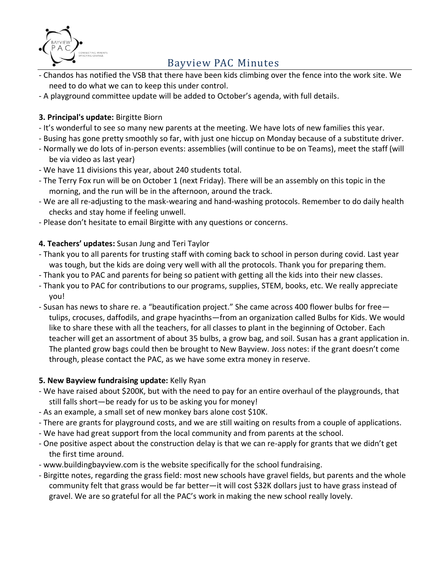

# Bayview PAC Minutes

- Chandos has notified the VSB that there have been kids climbing over the fence into the work site. We need to do what we can to keep this under control.
- A playground committee update will be added to October's agenda, with full details.

### **3. Principal's update:** Birgitte Biorn

- It's wonderful to see so many new parents at the meeting. We have lots of new families this year.
- Busing has gone pretty smoothly so far, with just one hiccup on Monday because of a substitute driver.
- Normally we do lots of in-person events: assemblies (will continue to be on Teams), meet the staff (will be via video as last year)
- We have 11 divisions this year, about 240 students total.
- The Terry Fox run will be on October 1 (next Friday). There will be an assembly on this topic in the morning, and the run will be in the afternoon, around the track.
- We are all re-adjusting to the mask-wearing and hand-washing protocols. Remember to do daily health checks and stay home if feeling unwell.
- Please don't hesitate to email Birgitte with any questions or concerns.

### **4. Teachers' updates:** Susan Jung and Teri Taylor

- Thank you to all parents for trusting staff with coming back to school in person during covid. Last year was tough, but the kids are doing very well with all the protocols. Thank you for preparing them.
- Thank you to PAC and parents for being so patient with getting all the kids into their new classes.
- Thank you to PAC for contributions to our programs, supplies, STEM, books, etc. We really appreciate you!
- Susan has news to share re. a "beautification project." She came across 400 flower bulbs for free tulips, crocuses, daffodils, and grape hyacinths—from an organization called Bulbs for Kids. We would like to share these with all the teachers, for all classes to plant in the beginning of October. Each teacher will get an assortment of about 35 bulbs, a grow bag, and soil. Susan has a grant application in. The planted grow bags could then be brought to New Bayview. Joss notes: if the grant doesn't come through, please contact the PAC, as we have some extra money in reserve.

### **5. New Bayview fundraising update:** Kelly Ryan

- We have raised about \$200K, but with the need to pay for an entire overhaul of the playgrounds, that still falls short—be ready for us to be asking you for money!
- As an example, a small set of new monkey bars alone cost \$10K.
- There are grants for playground costs, and we are still waiting on results from a couple of applications.
- We have had great support from the local community and from parents at the school.
- One positive aspect about the construction delay is that we can re-apply for grants that we didn't get the first time around.
- www.buildingbayview.com is the website specifically for the school fundraising.
- Birgitte notes, regarding the grass field: most new schools have gravel fields, but parents and the whole community felt that grass would be far better—it will cost \$32K dollars just to have grass instead of gravel. We are so grateful for all the PAC's work in making the new school really lovely.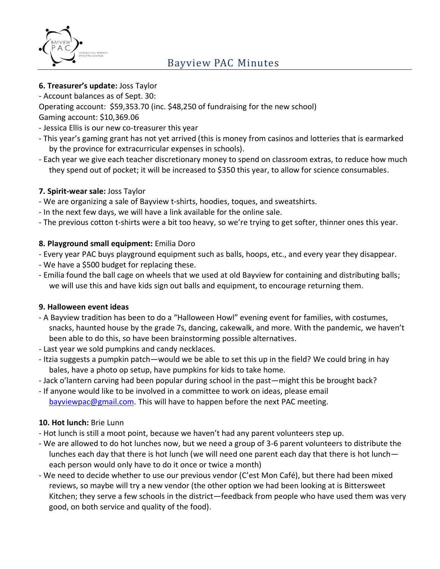

- **6. Treasurer's update:** Joss Taylor
- Account balances as of Sept. 30:

Operating account: \$59,353.70 (inc. \$48,250 of fundraising for the new school)

- Gaming account: \$10,369.06
- Jessica Ellis is our new co-treasurer this year
- This year's gaming grant has not yet arrived (this is money from casinos and lotteries that is earmarked by the province for extracurricular expenses in schools).
- Each year we give each teacher discretionary money to spend on classroom extras, to reduce how much they spend out of pocket; it will be increased to \$350 this year, to allow for science consumables.

### **7. Spirit-wear sale:** Joss Taylor

- We are organizing a sale of Bayview t-shirts, hoodies, toques, and sweatshirts.
- In the next few days, we will have a link available for the online sale.
- The previous cotton t-shirts were a bit too heavy, so we're trying to get softer, thinner ones this year.

### **8. Playground small equipment:** Emilia Doro

- Every year PAC buys playground equipment such as balls, hoops, etc., and every year they disappear.
- We have a \$500 budget for replacing these.
- Emilia found the ball cage on wheels that we used at old Bayview for containing and distributing balls; we will use this and have kids sign out balls and equipment, to encourage returning them.

### **9. Halloween event ideas**

- A Bayview tradition has been to do a "Halloween Howl" evening event for families, with costumes, snacks, haunted house by the grade 7s, dancing, cakewalk, and more. With the pandemic, we haven't been able to do this, so have been brainstorming possible alternatives.
- Last year we sold pumpkins and candy necklaces.
- Itzia suggests a pumpkin patch—would we be able to set this up in the field? We could bring in hay bales, have a photo op setup, have pumpkins for kids to take home.
- Jack o'lantern carving had been popular during school in the past—might this be brought back?
- If anyone would like to be involved in a committee to work on ideas, please email [bayviewpac@gmail.com.](mailto:bayviewpac@gmail.com) This will have to happen before the next PAC meeting.

### **10. Hot lunch:** Brie Lunn

- Hot lunch is still a moot point, because we haven't had any parent volunteers step up.
- We are allowed to do hot lunches now, but we need a group of 3-6 parent volunteers to distribute the lunches each day that there is hot lunch (we will need one parent each day that there is hot lunch each person would only have to do it once or twice a month)
- We need to decide whether to use our previous vendor (C'est Mon Café), but there had been mixed reviews, so maybe will try a new vendor (the other option we had been looking at is Bittersweet Kitchen; they serve a few schools in the district—feedback from people who have used them was very good, on both service and quality of the food).